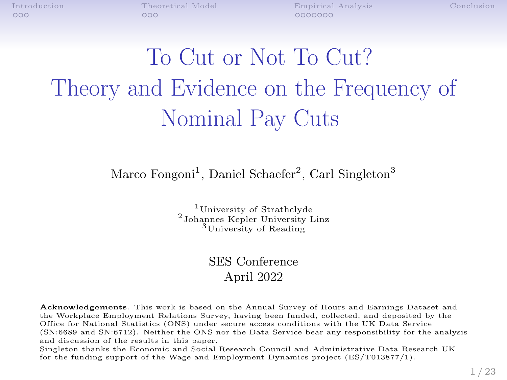$000$ 

[Introduction](#page-1-0) [Theoretical Model](#page-9-0) [Empirical Analysis](#page-14-0) [Conclusion](#page-23-0)  $0000000$ 

# To Cut or Not To Cut? Theory and Evidence on the Frequency of Nominal Pay Cuts

#### Marco Fongoni<sup>1</sup>, Daniel Schaefer<sup>2</sup>, Carl Singleton<sup>3</sup>

<sup>1</sup>University of Strathclyde <sup>2</sup>Johannes Kepler University Linz <sup>3</sup>University of Reading

#### SES Conference April 2022

Acknowledgements. This work is based on the Annual Survey of Hours and Earnings Dataset and the Workplace Employment Relations Survey, having been funded, collected, and deposited by the Office for National Statistics (ONS) under secure access conditions with the UK Data Service (SN:6689 and SN:6712). Neither the ONS nor the Data Service bear any responsibility for the analysis and discussion of the results in this paper.

Singleton thanks the Economic and Social Research Council and Administrative Data Research UK for the funding support of the Wage and Employment Dynamics project (ES/T013877/1).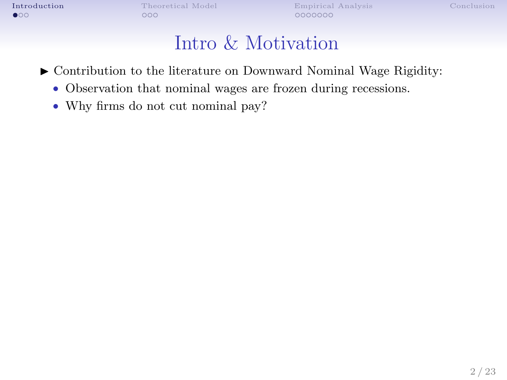<span id="page-1-0"></span>

[Introduction](#page-1-0) [Theoretical Model](#page-9-0) [Empirical Analysis](#page-14-0) [Conclusion](#page-23-0) Conclusion Conclusion Conclusion Conclusion Conclusion Conclusion Conclusion Conclusion Conclusion Conclusion Conclusion Conclusion Conclusion Conclusion Conclus

### Intro & Motivation

 $\triangleright$  Contribution to the literature on Downward Nominal Wage Rigidity:

- Observation that nominal wages are frozen during recessions.
- Why firms do not cut nominal pay?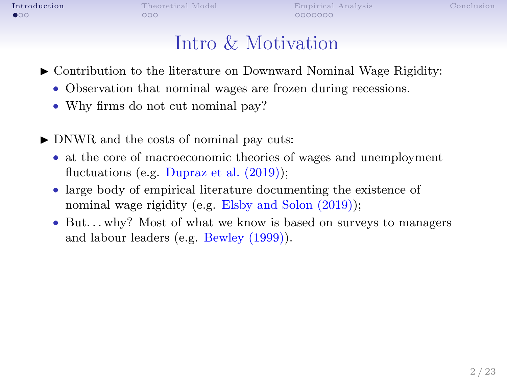$\bullet$ 00

0000000

### Intro & Motivation

- $\triangleright$  Contribution to the literature on Downward Nominal Wage Rigidity:
	- Observation that nominal wages are frozen during recessions.
	- Why firms do not cut nominal pay?
- $\triangleright$  DNWR and the costs of nominal pay cuts:
	- at the core of macroeconomic theories of wages and unemployment fluctuations (e.g. Dupraz et al.  $(2019)$ );
	- large body of empirical literature documenting the existence of nominal wage rigidity (e.g. Elsby and Solon (2019));
	- But...why? Most of what we know is based on surveys to managers and labour leaders (e.g. Bewley (1999)).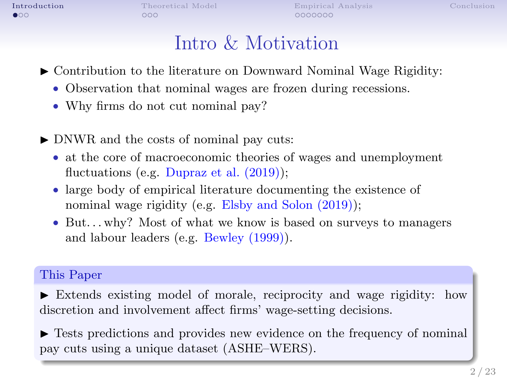$\bullet$ 00

 $0000000$ 

### Intro & Motivation

- $\triangleright$  Contribution to the literature on Downward Nominal Wage Rigidity:
	- Observation that nominal wages are frozen during recessions.
	- Why firms do not cut nominal pay?
- $\triangleright$  DNWR and the costs of nominal pay cuts:
	- at the core of macroeconomic theories of wages and unemployment fluctuations (e.g. Dupraz et al.  $(2019)$ );
	- large body of empirical literature documenting the existence of nominal wage rigidity (e.g. Elsby and Solon (2019));
	- But...why? Most of what we know is based on surveys to managers and labour leaders (e.g. Bewley (1999)).

#### This Paper

 $\blacktriangleright$  Extends existing model of morale, reciprocity and wage rigidity: how discretion and involvement affect firms' wage-setting decisions.

 $\blacktriangleright$  Tests predictions and provides new evidence on the frequency of nominal pay cuts using a unique dataset (ASHE–WERS).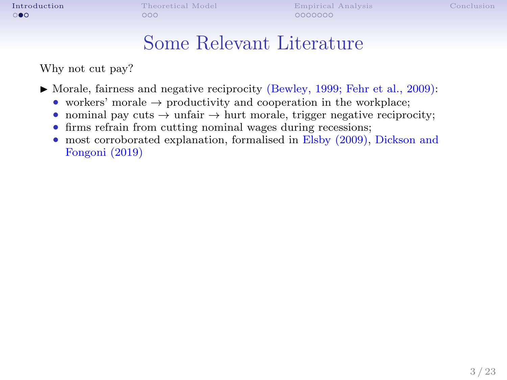#### Some Relevant Literature

Why not cut pay?

- $\blacktriangleright$  Morale, fairness and negative reciprocity (Bewley, 1999; Fehr et al., 2009):
	- workers' morale  $\rightarrow$  productivity and cooperation in the workplace;
	- nominal pay cuts  $\rightarrow$  unfair  $\rightarrow$  hurt morale, trigger negative reciprocity;
	- firms refrain from cutting nominal wages during recessions;
	- most corroborated explanation, formalised in Elsby (2009), Dickson and Fongoni (2019)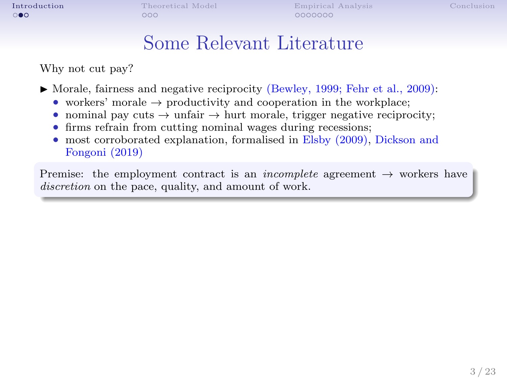#### Some Relevant Literature

Why not cut pay?

- $\blacktriangleright$  Morale, fairness and negative reciprocity (Bewley, 1999; Fehr et al., 2009):
	- workers' morale  $\rightarrow$  productivity and cooperation in the workplace;
	- nominal pay cuts  $\rightarrow$  unfair  $\rightarrow$  hurt morale, trigger negative reciprocity;
	- firms refrain from cutting nominal wages during recessions;
	- most corroborated explanation, formalised in Elsby (2009), Dickson and Fongoni (2019)

Premise: the employment contract is an *incomplete* agreement  $\rightarrow$  workers have discretion on the pace, quality, and amount of work.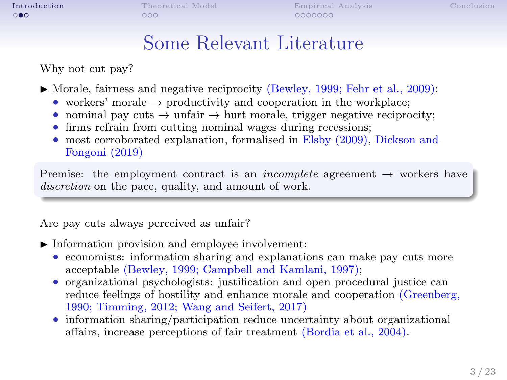#### Some Relevant Literature

Why not cut pay?

 $\blacktriangleright$  Morale, fairness and negative reciprocity (Bewley, 1999; Fehr et al., 2009):

- workers' morale  $\rightarrow$  productivity and cooperation in the workplace;
- nominal pay cuts  $\rightarrow$  unfair  $\rightarrow$  hurt morale, trigger negative reciprocity;
- firms refrain from cutting nominal wages during recessions;
- most corroborated explanation, formalised in Elsby (2009), Dickson and Fongoni (2019)

Premise: the employment contract is an *incomplete* agreement  $\rightarrow$  workers have discretion on the pace, quality, and amount of work.

Are pay cuts always perceived as unfair?

- $\blacktriangleright$  Information provision and employee involvement:
	- economists: information sharing and explanations can make pay cuts more acceptable (Bewley, 1999; Campbell and Kamlani, 1997);
	- organizational psychologists: justification and open procedural justice can reduce feelings of hostility and enhance morale and cooperation (Greenberg, 1990; Timming, 2012; Wang and Seifert, 2017)
	- information sharing/participation reduce uncertainty about organizational affairs, increase perceptions of fair treatment (Bordia et al., 2004).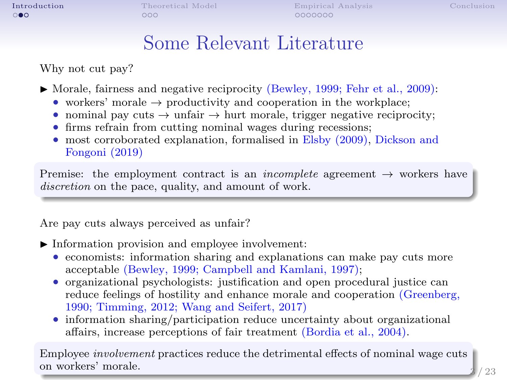#### Some Relevant Literature

Why not cut pay?

 $\blacktriangleright$  Morale, fairness and negative reciprocity (Bewley, 1999; Fehr et al., 2009):

- workers' morale  $\rightarrow$  productivity and cooperation in the workplace;
- nominal pay cuts  $\rightarrow$  unfair  $\rightarrow$  hurt morale, trigger negative reciprocity;
- firms refrain from cutting nominal wages during recessions;
- most corroborated explanation, formalised in Elsby (2009), Dickson and Fongoni (2019)

Premise: the employment contract is an *incomplete* agreement  $\rightarrow$  workers have discretion on the pace, quality, and amount of work.

Are pay cuts always perceived as unfair?

- $\blacktriangleright$  Information provision and employee involvement:
	- economists: information sharing and explanations can make pay cuts more acceptable (Bewley, 1999; Campbell and Kamlani, 1997);
	- organizational psychologists: justification and open procedural justice can reduce feelings of hostility and enhance morale and cooperation (Greenberg, 1990; Timming, 2012; Wang and Seifert, 2017)
	- information sharing/participation reduce uncertainty about organizational affairs, increase perceptions of fair treatment (Bordia et al., 2004).

Employee involvement practices reduce the detrimental effects of nominal wage cuts on workers' morale.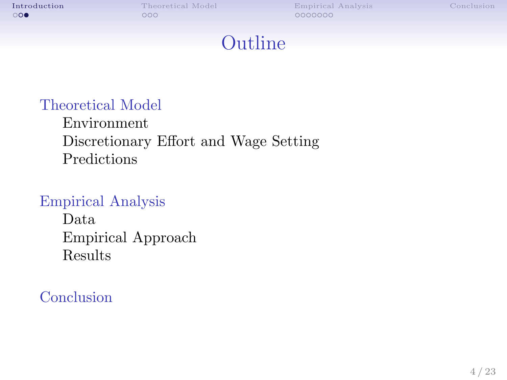### Outline

#### [Theoretical Model](#page-9-0)

[Environment](#page-9-0) [Discretionary Effort and Wage Setting](#page-12-0) [Predictions](#page-13-0)

#### [Empirical Analysis](#page-14-0)

[Data](#page-14-0) [Empirical Approach](#page-18-0) [Results](#page-20-0)

#### **[Conclusion](#page-23-0)**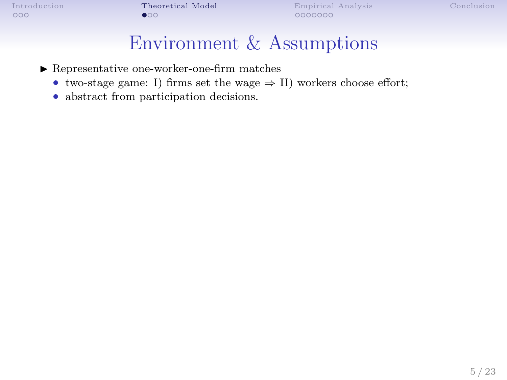### Environment & Assumptions

- <span id="page-9-0"></span> $\blacktriangleright$  Representative one-worker-one-firm matches
	- two-stage game: I) firms set the wage  $\Rightarrow$  II) workers choose effort;
	- abstract from participation decisions.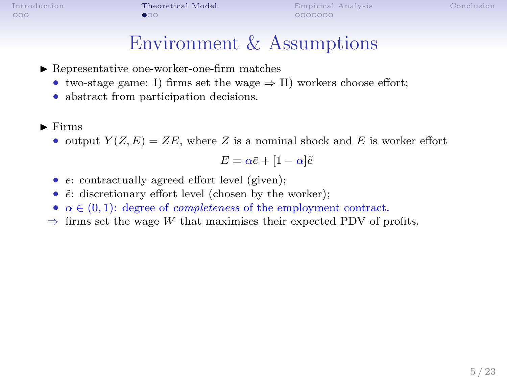#### Environment & Assumptions

- $\blacktriangleright$  Representative one-worker-one-firm matches
	- two-stage game: I) firms set the wage  $\Rightarrow$  II) workers choose effort;
	- abstract from participation decisions.
- $\blacktriangleright$  Firms
	- output  $Y(Z, E) = ZE$ , where Z is a nominal shock and E is worker effort

$$
E = \alpha \bar{e} + [1 - \alpha] \tilde{e}
$$

- $\bar{e}$ : contractually agreed effort level (given);
- $\tilde{e}$ : discretionary effort level (chosen by the worker);
- $\alpha \in (0,1)$ : degree of *completeness* of the employment contract.
- $\Rightarrow$  firms set the wage W that maximises their expected PDV of profits.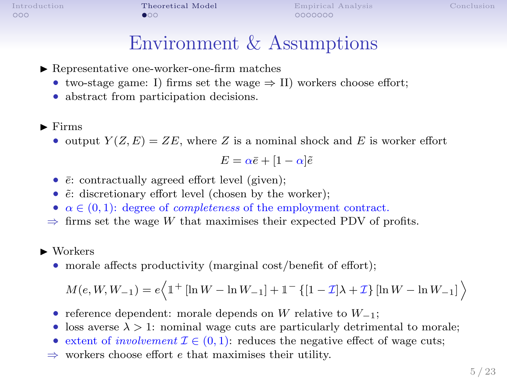#### Environment & Assumptions

- $\blacktriangleright$  Representative one-worker-one-firm matches
	- two-stage game: I) firms set the wage  $\Rightarrow$  II) workers choose effort;
	- abstract from participation decisions.
- $\blacktriangleright$  Firms
	- output  $Y(Z, E) = ZE$ , where Z is a nominal shock and E is worker effort

$$
E = \alpha \bar{e} + [1 - \alpha] \tilde{e}
$$

- $\bar{e}$ : contractually agreed effort level (given);
- $\tilde{e}$ : discretionary effort level (chosen by the worker);
- $\alpha \in (0,1)$ : degree of *completeness* of the employment contract.
- $\Rightarrow$  firms set the wage W that maximises their expected PDV of profits.
- $\blacktriangleright$  Workers
	- morale affects productivity (marginal cost/benefit of effort);

$$
M(e, W, W_{-1}) = e \Big\langle 1 + [\ln W - \ln W_{-1}] + 1 - \{[1 - \mathcal{I}] \lambda + \mathcal{I}\} [\ln W - \ln W_{-1}] \Big\rangle
$$

- reference dependent: morale depends on W relative to  $W_{-1}$ ;
- loss averse  $\lambda > 1$ : nominal wage cuts are particularly detrimental to morale;
- extent of *involvement*  $\mathcal{I} \in (0,1)$ : reduces the negative effect of wage cuts;
- $\Rightarrow$  workers choose effort e that maximises their utility.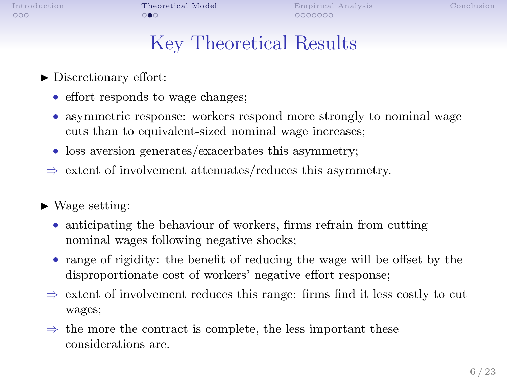$0000000$ 

## Key Theoretical Results

- <span id="page-12-0"></span> $\blacktriangleright$  Discretionary effort:
	- effort responds to wage changes;
	- asymmetric response: workers respond more strongly to nominal wage cuts than to equivalent-sized nominal wage increases;
	- loss aversion generates/exacerbates this asymmetry;
	- $\Rightarrow$  extent of involvement attenuates/reduces this asymmetry.
- $\blacktriangleright$  Wage setting:
	- anticipating the behaviour of workers, firms refrain from cutting nominal wages following negative shocks;
	- range of rigidity: the benefit of reducing the wage will be offset by the disproportionate cost of workers' negative effort response;
	- $\Rightarrow$  extent of involvement reduces this range: firms find it less costly to cut wages;
	- $\Rightarrow$  the more the contract is complete, the less important these considerations are.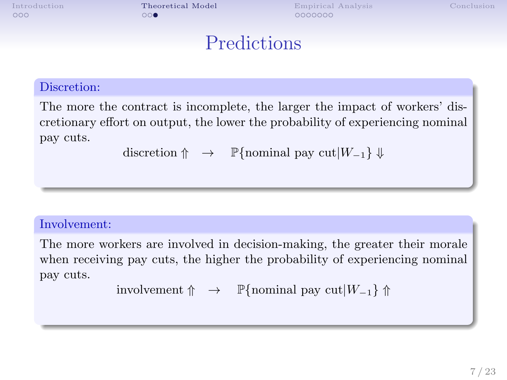$000$ 

<span id="page-13-0"></span>[Introduction](#page-1-0) **[Theoretical Model](#page-9-0)** [Empirical Analysis](#page-14-0) [Conclusion](#page-23-0)  $0000000$ 

#### **Predictions**

#### Discretion:

The more the contract is incomplete, the larger the impact of workers' discretionary effort on output, the lower the probability of experiencing nominal pay cuts.

discretion  $\uparrow \rightarrow \mathbb{P}\{\text{nominal pay cut}|W_{-1}\}\Downarrow$ 

#### Involvement:

The more workers are involved in decision-making, the greater their morale when receiving pay cuts, the higher the probability of experiencing nominal pay cuts.

```
involvement \uparrow \rightarrow \mathbb{P}\{\text{nominal pay cut}|W_{-1}\}\uparrow
```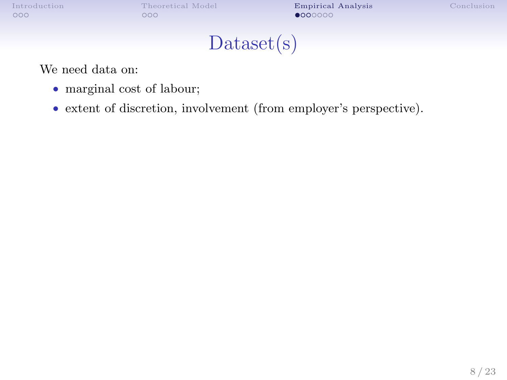<span id="page-14-0"></span>

[Introduction](#page-1-0) [Theoretical Model](#page-9-0) **[Empirical Analysis](#page-14-0)** [Conclusion](#page-23-0) Conclusion **Conclusion** Conclusion **Conclusion** 

### Dataset(s)

<span id="page-14-1"></span>We need data on:

- marginal cost of labour;
- extent of discretion, involvement (from employer's perspective).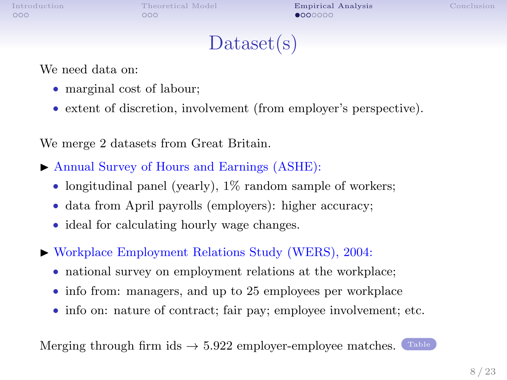[Introduction](#page-1-0) [Theoretical Model](#page-9-0) **[Empirical Analysis](#page-14-0)** [Conclusion](#page-23-0)<br>000 000 000 **000** 0000 **000** 

### Dataset(s)

We need data on:

- marginal cost of labour;
- extent of discretion, involvement (from employer's perspective).

We merge 2 datasets from Great Britain.

- ▶ Annual Survey of Hours and Earnings (ASHE):
	- longitudinal panel (yearly), 1% random sample of workers;
	- data from April payrolls (employers): higher accuracy;
	- ideal for calculating hourly wage changes.
- Workplace Employment Relations Study (WERS), 2004:
	- national survey on employment relations at the workplace;
	- info from: managers, and up to 25 employees per workplace
	- info on: nature of contract; fair pay; employee involvement; etc.

Merging through firm ids  $\rightarrow$  5.922 employer-employee matches. [Table](#page-25-0)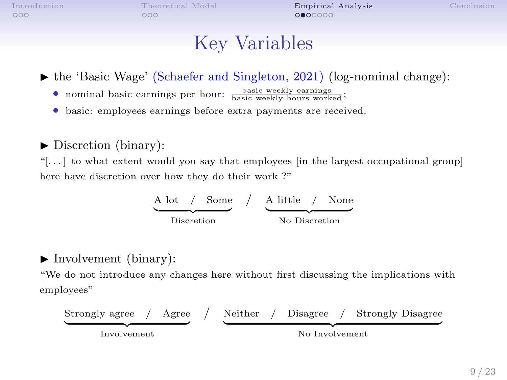$000$ 

[Introduction](#page-1-0) [Theoretical Model](#page-9-0) [Empirical Analysis](#page-14-0) [Conclusion](#page-23-0)

### Key Variables

 $\blacktriangleright$  the 'Basic Wage' (Schaefer and Singleton, 2021) (log-nominal change):

- nominal basic earnings per hour: **basic weekly earnings** ;
- basic: employees earnings before extra payments are received.

#### $\blacktriangleright$  Discretion (binary):

"[ $\dots$ ] to what extent would you say that employees [in the largest occupational group] here have discretion over how they do their work ?"

$$
\begin{array}{c|c}\n\text{A lot} & \text{Some} \\
\hline\n\text{Discretion} & \text{A little} \\
\hline\n\text{No Discretion}\n\end{array}
$$

#### $\blacktriangleright$  Involvement (binary):

"We do not introduce any changes here without first discussing the implications with employees"

Strongly agree / Agree | {z } Involvement / Neither / Disagree / Strongly Disagree | {z } No Involvement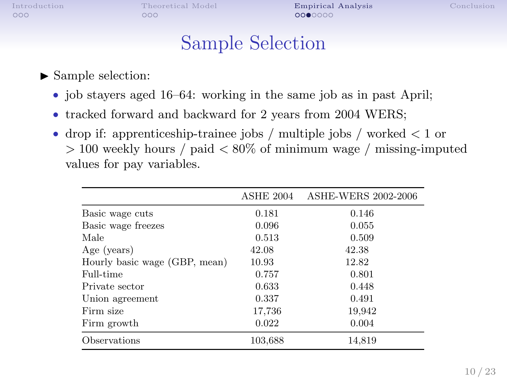[Introduction](#page-1-0) [Theoretical Model](#page-9-0) [Empirical Analysis](#page-14-0) [Conclusion](#page-23-0)

#### Sample Selection

#### $\blacktriangleright$  Sample selection:

- job stayers aged 16–64: working in the same job as in past April;
- tracked forward and backward for 2 years from 2004 WERS;
- drop if: apprenticeship-trainee jobs / multiple jobs / worked  $\lt 1$  or  $> 100$  weekly hours / paid  $< 80\%$  of minimum wage / missing-imputed values for pay variables.

|                               | ASHE 2004 | ASHE-WERS 2002-2006 |
|-------------------------------|-----------|---------------------|
| Basic wage cuts               | 0.181     | 0.146               |
| Basic wage freezes            | 0.096     | 0.055               |
| Male                          | 0.513     | 0.509               |
| Age (years)                   | 42.08     | 42.38               |
| Hourly basic wage (GBP, mean) | 10.93     | 12.82               |
| Full-time                     | 0.757     | 0.801               |
| Private sector                | 0.633     | 0.448               |
| Union agreement               | 0.337     | 0.491               |
| Firm size                     | 17,736    | 19,942              |
| Firm growth                   | 0.022     | 0.004               |
| Observations                  | 103.688   | 14,819              |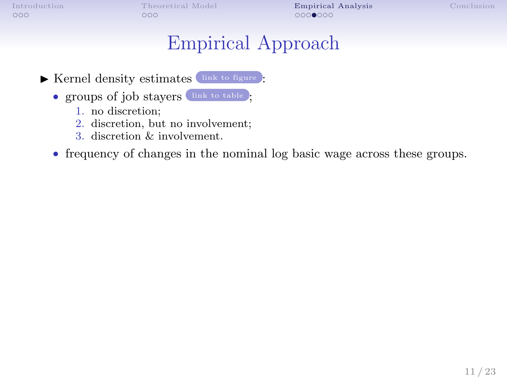<span id="page-18-0"></span>

[Introduction](#page-1-0) [Theoretical Model](#page-9-0) **[Empirical Analysis](#page-14-0)** [Conclusion](#page-23-0) Conclusion **Conclusion** Conclusion **Conclusion** 

### Empirical Approach

<span id="page-18-1"></span> $\blacktriangleright$  Kernel density estimates  $\boxed{\scriptstyle\mbox{link to figure}}$  $\boxed{\scriptstyle\mbox{link to figure}}$  $\boxed{\scriptstyle\mbox{link to figure}}$ :

- groups of job stayers [link to table](#page-26-0) ;
	- 1. no discretion;
	- 2. discretion, but no involvement;
	- 3. discretion & involvement.
- frequency of changes in the nominal log basic wage across these groups.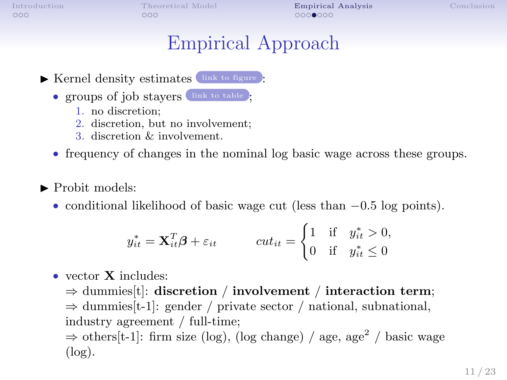$000$ 

[Introduction](#page-1-0) [Theoretical Model](#page-9-0) **[Empirical Analysis](#page-14-0)** [Conclusion](#page-23-0)  $00000000$ 

## Empirical Approach

 $\blacktriangleright$  Kernel density estimates  $\left($  [link to figure](#page-27-0)  $\right)$ :

- groups of job stayers [link to table](#page-26-0) };
	- 1. no discretion;
	- 2. discretion, but no involvement;
	- 3. discretion & involvement.
- frequency of changes in the nominal log basic wage across these groups.
- $\blacktriangleright$  Probit models:
	- conditional likelihood of basic wage cut (less than −0.5 log points).

$$
y_{it}^* = \mathbf{X}_{it}^T \boldsymbol{\beta} + \varepsilon_{it} \qquad \text{cut}_{it} = \begin{cases} 1 & \text{if} \quad y_{it}^* > 0, \\ 0 & \text{if} \quad y_{it}^* \le 0 \end{cases}
$$

• vector **X** includes:

 $\Rightarrow$  dummies[t]: discretion / involvement / interaction term;  $\Rightarrow$  dummies [t-1]: gender / private sector / national, subnational, industry agreement / full-time;  $\Rightarrow$  others[t-1]: firm size (log), (log change) / age, age<sup>2</sup> / basic wage  $(\log).$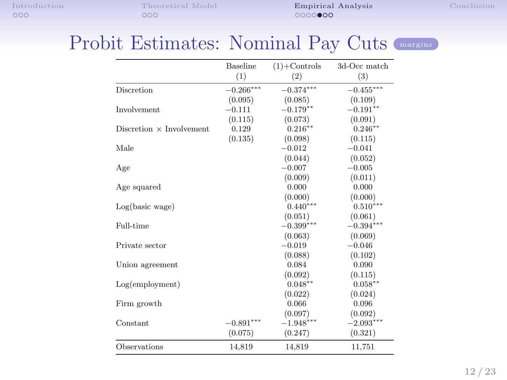<span id="page-20-0"></span>[Introduction](#page-1-0) [Theoretical Model](#page-9-0) **[Empirical Analysis](#page-14-0)** [Conclusion](#page-23-0) Conclusion **Conclusion** Conclusion **Conclusion** 

#### <span id="page-20-1"></span>Probit Estimates: Nominal Pay Cuts ([margins](#page-28-0))

|                                 | Baseline<br>(1) | $(1)$ +Controls<br>(2) | 3d-Occ match<br>(3) |
|---------------------------------|-----------------|------------------------|---------------------|
|                                 |                 |                        |                     |
| Discretion                      | $-0.266***$     | $-0.374***$            | $-0.455***$         |
|                                 | (0.095)         | (0.085)                | (0.109)             |
| Involvement                     | $-0.111$        | $-0.179**$             | $-0.191**$          |
|                                 | (0.115)         | (0.073)                | (0.091)             |
| Discretion $\times$ Involvement | 0.129           | $0.216**$              | $0.246**$           |
|                                 | (0.135)         | (0.098)                | (0.115)             |
| Male                            |                 | $-0.012$               | $-0.041$            |
|                                 |                 | (0.044)                | (0.052)             |
| Age                             |                 | $-0.007$               | $-0.005$            |
|                                 |                 | (0.009)                | (0.011)             |
| Age squared                     |                 | 0.000                  | 0.000               |
|                                 |                 | (0.000)                | (0.000)             |
| Log(basic wage)                 |                 | $0.440***$             | $0.510***$          |
|                                 |                 | (0.051)                | (0.061)             |
| Full-time                       |                 | $-0.399***$            | $-0.394***$         |
|                                 |                 | (0.063)                | (0.069)             |
| Private sector                  |                 | $-0.019$               | $-0.046$            |
|                                 |                 | (0.088)                | (0.102)             |
| Union agreement                 |                 | 0.084                  | 0.090               |
|                                 |                 | (0.092)                | (0.115)             |
| $Log(em$ ployment)              |                 | $0.048**$              | $0.058**$           |
|                                 |                 | (0.022)                | (0.024)             |
| Firm growth                     |                 | 0.066                  | 0.096               |
|                                 |                 | (0.097)                | (0.092)             |
| Constant                        | $-0.891***$     | $-1.948***$            | $-2.093***$         |
|                                 | (0.075)         | (0.247)                | (0.321)             |
| Observations                    | 14,819          | 14,819                 | 11,751              |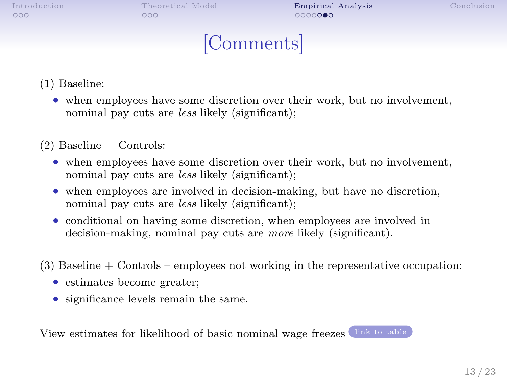$000$ 

[Introduction](#page-1-0) [Theoretical Model](#page-9-0) [Empirical Analysis](#page-14-0) [Conclusion](#page-23-0)

### [Comments]

<span id="page-21-0"></span>(1) Baseline:

- when employees have some discretion over their work, but no involvement, nominal pay cuts are *less* likely (significant);
- $(2)$  Baseline + Controls:
	- when employees have some discretion over their work, but no involvement, nominal pay cuts are *less* likely (significant);
	- when employees are involved in decision-making, but have no discretion, nominal pay cuts are *less* likely (significant);
	- conditional on having some discretion, when employees are involved in decision-making, nominal pay cuts are more likely (significant).
- (3) Baseline + Controls employees not working in the representative occupation:
	- estimates become greater;
	- significance levels remain the same.

View estimates for likelihood of basic nominal wage freezes [link to table](#page-29-0)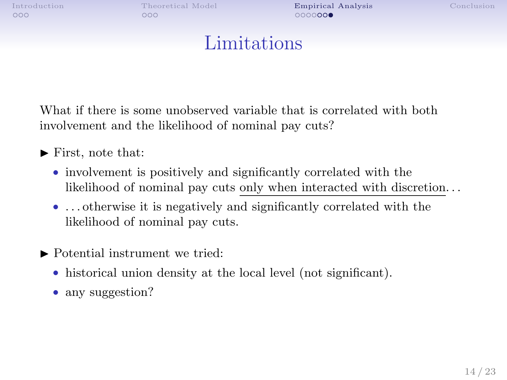[Introduction](#page-1-0) [Theoretical Model](#page-9-0) [Empirical Analysis](#page-14-0) [Conclusion](#page-23-0)

#### Limitations

What if there is some unobserved variable that is correlated with both involvement and the likelihood of nominal pay cuts?

- $\blacktriangleright$  First, note that:
	- involvement is positively and significantly correlated with the likelihood of nominal pay cuts only when interacted with discretion. . .
	- ... otherwise it is negatively and significantly correlated with the likelihood of nominal pay cuts.
- $\blacktriangleright$  Potential instrument we tried:
	- historical union density at the local level (not significant).
	- any suggestion?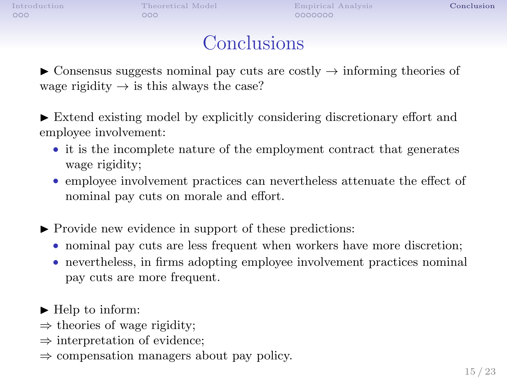<span id="page-23-0"></span>[Introduction](#page-1-0) [Theoretical Model](#page-9-0) [Empirical Analysis](#page-14-0) [Conclusion](#page-23-0) Conclusion Conclusion Conclusion

### **Conclusions**

 $\triangleright$  Consensus suggests nominal pay cuts are costly  $\rightarrow$  informing theories of wage rigidity  $\rightarrow$  is this always the case?

 $\blacktriangleright$  Extend existing model by explicitly considering discretionary effort and employee involvement:

- it is the incomplete nature of the employment contract that generates wage rigidity;
- employee involvement practices can nevertheless attenuate the effect of nominal pay cuts on morale and effort.
- $\blacktriangleright$  Provide new evidence in support of these predictions:
	- nominal pay cuts are less frequent when workers have more discretion;
	- nevertheless, in firms adopting employee involvement practices nominal pay cuts are more frequent.

 $\blacktriangleright$  Help to inform:

- $\Rightarrow$  theories of wage rigidity;
- ⇒ interpretation of evidence;
- ⇒ compensation managers about pay policy.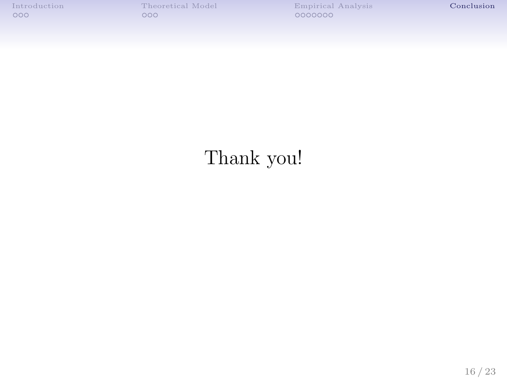# Thank you!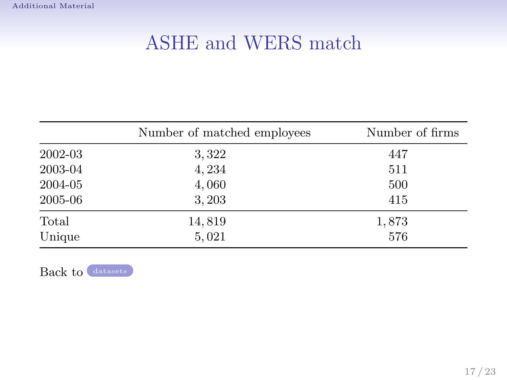# <span id="page-25-1"></span>ASHE and WERS match

<span id="page-25-0"></span>

|         | Number of matched employees | Number of firms |
|---------|-----------------------------|-----------------|
| 2002-03 | 3,322                       | 447             |
| 2003-04 | 4,234                       | 511             |
| 2004-05 | 4,060                       | 500             |
| 2005-06 | 3,203                       | 415             |
| Total   | 14,819                      | 1,873           |
| Unique  | 5,021                       | 576             |

Back to [datasets](#page-14-1)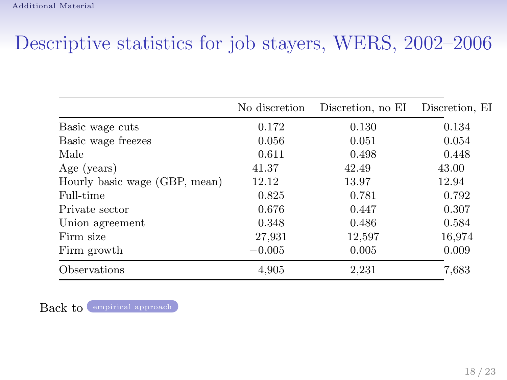# Descriptive statistics for job stayers, WERS, 2002–2006

<span id="page-26-0"></span>

|                               | No discretion | Discretion, no EI | Discretion, EI |
|-------------------------------|---------------|-------------------|----------------|
| Basic wage cuts               | 0.172         | 0.130             | 0.134          |
| Basic wage freezes            | 0.056         | 0.051             | 0.054          |
| Male                          | 0.611         | 0.498             | 0.448          |
| Age (years)                   | 41.37         | 42.49             | 43.00          |
| Hourly basic wage (GBP, mean) | 12.12         | 13.97             | 12.94          |
| Full-time                     | 0.825         | 0.781             | 0.792          |
| Private sector                | 0.676         | 0.447             | 0.307          |
| Union agreement               | 0.348         | 0.486             | 0.584          |
| Firm size                     | 27,931        | 12,597            | 16,974         |
| Firm growth                   | $-0.005$      | 0.005             | 0.009          |
| Observations                  | 4,905         | 2,231             | 7,683          |

Back to [empirical approach](#page-18-1)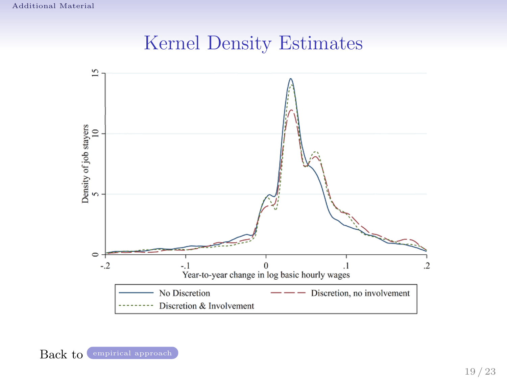### Kernel Density Estimates

<span id="page-27-0"></span>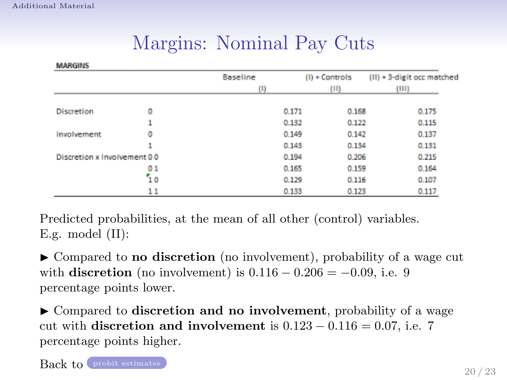--------

|  | Margins: Nominal Pay Cuts |  |  |
|--|---------------------------|--|--|
|--|---------------------------|--|--|

<span id="page-28-0"></span>

|                             |    | <b>Baseline</b> |       | $(I) +$ Controls | $(II) + 3$ -digit occ matched |
|-----------------------------|----|-----------------|-------|------------------|-------------------------------|
|                             |    | (1)             |       | (11)             | (III)                         |
| <b>Discretion</b>           | ٥  |                 | 0.171 | 0.168            | 0.175                         |
|                             |    |                 | 0.132 | 0.122            | 0.115                         |
| Involvement                 | 0  |                 | 0.149 | 0.142            | 0.137                         |
|                             |    |                 | 0.143 | 0.134            | 0.131                         |
| Discretion x Involvement 00 |    |                 | 0.194 | 0.206            | 0.215                         |
|                             | 01 |                 | 0.165 | 0.159            | 0.164                         |
|                             | 10 |                 | 0.129 | 0.116            | 0.107                         |
|                             | 11 |                 | 0.133 | 0.123            | 0.117                         |

Predicted probabilities, at the mean of all other (control) variables. E.g. model (II):

 $\triangleright$  Compared to **no discretion** (no involvement), probability of a wage cut with discretion (no involvement) is  $0.116 - 0.206 = -0.09$ , i.e. 9 percentage points lower.

 $\blacktriangleright$  Compared to discretion and no involvement, probability of a wage cut with discretion and involvement is  $0.123 - 0.116 = 0.07$ , i.e. 7 percentage points higher.

Back to [probit estimates](#page-20-1)

20 / 23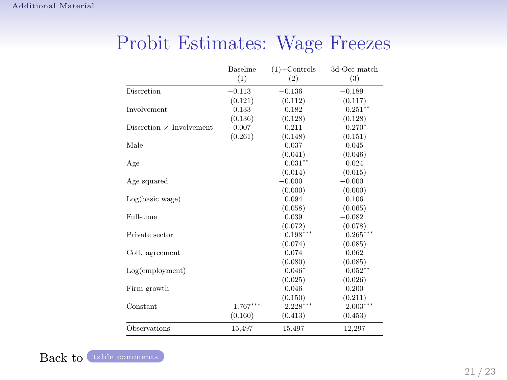|                                 | <b>Baseline</b> | $(1)$ +Controls | 3d-Occ match |
|---------------------------------|-----------------|-----------------|--------------|
|                                 | (1)             | (2)             | (3)          |
| Discretion                      | $-0.113$        | $-0.136$        | $-0.189$     |
|                                 | (0.121)         | (0.112)         | (0.117)      |
| Involvement                     | $-0.133$        | $-0.182$        | $-0.251**$   |
|                                 | (0.136)         | (0.128)         | (0.128)      |
| Discretion $\times$ Involvement | $-0.007$        | 0.211           | $0.270*$     |
|                                 | (0.261)         | (0.148)         | (0.151)      |
| Male                            |                 | 0.037           | 0.045        |
|                                 |                 | (0.041)         | (0.046)      |
| Age                             |                 | $0.031**$       | 0.024        |
|                                 |                 | (0.014)         | (0.015)      |
| Age squared                     |                 | $-0.000$        | $-0.000$     |
|                                 |                 | (0.000)         | (0.000)      |
| Log(basic wage)                 |                 | 0.094           | 0.106        |
|                                 |                 | (0.058)         | (0.065)      |
| Full-time                       |                 | 0.039           | $-0.082$     |
|                                 |                 | (0.072)         | (0.078)      |
| Private sector                  |                 | $0.198***$      | $0.265***$   |
|                                 |                 | (0.074)         | (0.085)      |
| Coll. agreement                 |                 | 0.074           | 0.062        |
|                                 |                 | (0.080)         | (0.085)      |
| Log(emplovment)                 |                 | $-0.046*$       | $-0.052**$   |
|                                 |                 | (0.025)         | (0.026)      |
| Firm growth                     |                 | $-0.046$        | $-0.200$     |
|                                 |                 | (0.150)         | (0.211)      |
| Constant                        | $-1.767***$     | $-2.228***$     | $-2.003***$  |
|                                 | (0.160)         | (0.413)         | (0.453)      |
| Observations                    | 15,497          | 15,497          | 12,297       |

## <span id="page-29-0"></span>Probit Estimates: Wage Freezes